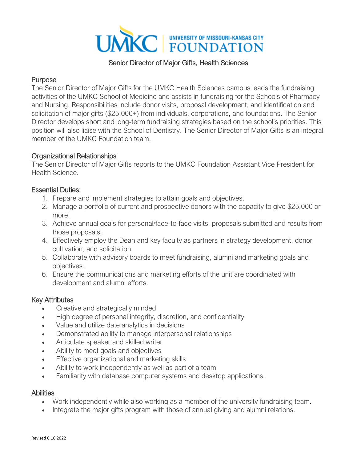

#### Senior Director of Major Gifts, Health Sciences

## **Purpose**

The Senior Director of Major Gifts for the UMKC Health Sciences campus leads the fundraising activities of the UMKC School of Medicine and assists in fundraising for the Schools of Pharmacy and Nursing. Responsibilities include donor visits, proposal development, and identification and solicitation of major gifts (\$25,000+) from individuals, corporations, and foundations. The Senior Director develops short and long-term fundraising strategies based on the school's priorities. This position will also liaise with the School of Dentistry. The Senior Director of Major Gifts is an integral member of the UMKC Foundation team.

## Organizational Relationships

The Senior Director of Major Gifts reports to the UMKC Foundation Assistant Vice President for Health Science.

## Essential Duties:

- 1. Prepare and implement strategies to attain goals and objectives.
- 2. Manage a portfolio of current and prospective donors with the capacity to give \$25,000 or more.
- 3. Achieve annual goals for personal/face-to-face visits, proposals submitted and results from those proposals.
- 4. Effectively employ the Dean and key faculty as partners in strategy development, donor cultivation, and solicitation.
- 5. Collaborate with advisory boards to meet fundraising, alumni and marketing goals and objectives.
- 6. Ensure the communications and marketing efforts of the unit are coordinated with development and alumni efforts.

#### Key Attributes

- Creative and strategically minded
- High degree of personal integrity, discretion, and confidentiality
- Value and utilize date analytics in decisions
- Demonstrated ability to manage interpersonal relationships
- Articulate speaker and skilled writer
- Ability to meet goals and objectives
- Effective organizational and marketing skills
- Ability to work independently as well as part of a team
- Familiarity with database computer systems and desktop applications.

#### **Abilities**

- Work independently while also working as a member of the university fundraising team.
- Integrate the major gifts program with those of annual giving and alumni relations.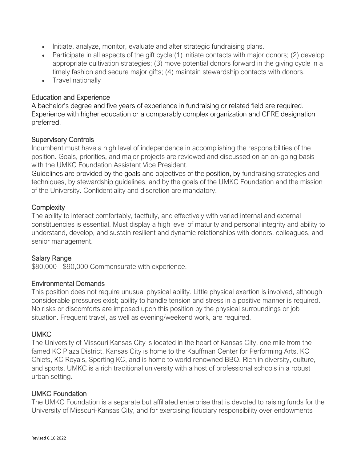- Initiate, analyze, monitor, evaluate and alter strategic fundraising plans.
- Participate in all aspects of the gift cycle: (1) initiate contacts with major donors; (2) develop appropriate cultivation strategies; (3) move potential donors forward in the giving cycle in a timely fashion and secure major gifts; (4) maintain stewardship contacts with donors.
- Travel nationally

## Education and Experience

A bachelor's degree and five years of experience in fundraising or related field are required. Experience with higher education or a comparably complex organization and CFRE designation preferred.

## Supervisory Controls

Incumbent must have a high level of independence in accomplishing the responsibilities of the position. Goals, priorities, and major projects are reviewed and discussed on an on-going basis with the UMKC Foundation Assistant Vice President.

Guidelines are provided by the goals and objectives of the position, by fundraising strategies and techniques, by stewardship guidelines, and by the goals of the UMKC Foundation and the mission of the University. Confidentiality and discretion are mandatory.

## **Complexity**

The ability to interact comfortably, tactfully, and effectively with varied internal and external constituencies is essential. Must display a high level of maturity and personal integrity and ability to understand, develop, and sustain resilient and dynamic relationships with donors, colleagues, and senior management.

# Salary Range

\$80,000 - \$90,000 Commensurate with experience.

#### Environmental Demands

This position does not require unusual physical ability. Little physical exertion is involved, although considerable pressures exist; ability to handle tension and stress in a positive manner is required. No risks or discomforts are imposed upon this position by the physical surroundings or job situation. Frequent travel, as well as evening/weekend work, are required.

# UMKC

The University of Missouri Kansas City is located in the heart of Kansas City, one mile from the famed KC Plaza District. Kansas City is home to the Kauffman Center for Performing Arts, KC Chiefs, KC Royals, Sporting KC, and is home to world renowned BBQ. Rich in diversity, culture, and sports, UMKC is a rich traditional university with a host of professional schools in a robust urban setting.

#### UMKC Foundation

The UMKC Foundation is a separate but affiliated enterprise that is devoted to raising funds for the University of Missouri-Kansas City, and for exercising fiduciary responsibility over endowments